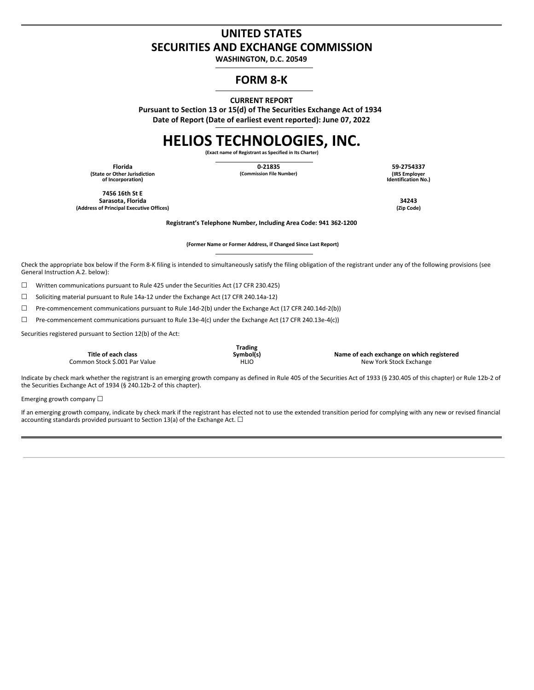## **UNITED STATES SECURITIES AND EXCHANGE COMMISSION**

**WASHINGTON, D.C. 20549**

### **FORM 8-K**

**CURRENT REPORT**

**Pursuant to Section 13 or 15(d) of The Securities Exchange Act of 1934 Date of Report (Date of earliest event reported): June 07, 2022**

# **HELIOS TECHNOLOGIES, INC.**

**(Exact name of Registrant as Specified in Its Charter)**

**(State or Other Jurisdiction of Incorporation)**

**Florida 0-21835 59-2754337**

**(Commission File Number) (IRS Employer Identification No.)**

**7456 16th St E Sarasota, Florida 34243 (Address of Principal Executive Offices) (Zip Code)**

**Registrant's Telephone Number, Including Area Code: 941 362-1200**

**(Former Name or Former Address, if Changed Since Last Report)**

Check the appropriate box below if the Form 8-K filing is intended to simultaneously satisfy the filing obligation of the registrant under any of the following provisions (see General Instruction A.2. below):

 $\Box$  Written communications pursuant to Rule 425 under the Securities Act (17 CFR 230.425)

☐ Soliciting material pursuant to Rule 14a-12 under the Exchange Act (17 CFR 240.14a-12)

☐ Pre-commencement communications pursuant to Rule 14d-2(b) under the Exchange Act (17 CFR 240.14d-2(b))

☐ Pre-commencement communications pursuant to Rule 13e-4(c) under the Exchange Act (17 CFR 240.13e-4(c))

Securities registered pursuant to Section 12(b) of the Act:

**Title of each class** Common Stock \$.001 Par Value **Trading**

**Symbol(s) Name of each exchange on which registered**

Indicate by check mark whether the registrant is an emerging growth company as defined in Rule 405 of the Securities Act of 1933 (§ 230.405 of this chapter) or Rule 12b-2 of the Securities Exchange Act of 1934 (§ 240.12b-2 of this chapter).

Emerging growth company  $\Box$ 

If an emerging growth company, indicate by check mark if the registrant has elected not to use the extended transition period for complying with any new or revised financial accounting standards provided pursuant to Section 13(a) of the Exchange Act.  $\Box$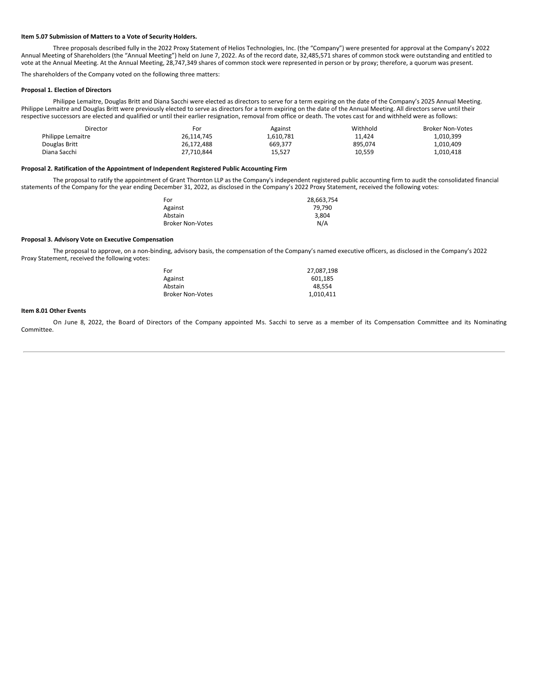#### **Item 5.07 Submission of Matters to a Vote of Security Holders.**

Three proposals described fully in the 2022 Proxy Statement of Helios Technologies, Inc. (the "Company") were presented for approval at the Company's 2022 Annual Meeting of Shareholders (the "Annual Meeting") held on June 7, 2022. As of the record date, 32,485,571 shares of common stock were outstanding and entitled to vote at the Annual Meeting. At the Annual Meeting, 28,747,349 shares of common stock were represented in person or by proxy; therefore, a quorum was present.

The shareholders of the Company voted on the following three matters:

#### **Proposal 1. Election of Directors**

Philippe Lemaitre, Douglas Britt and Diana Sacchi were elected as directors to serve for a term expiring on the date of the Company's 2025 Annual Meeting. Philippe Lemaitre and Douglas Britt were previously elected to serve as directors for a term expiring on the date of the Annual Meeting. All directors serve until their respective successors are elected and qualified or until their earlier resignation, removal from office or death. The votes cast for and withheld were as follows:

| Director          | For        | Against   | Withhold | <b>Broker Non-Votes</b> |
|-------------------|------------|-----------|----------|-------------------------|
| Philippe Lemaitre | 26.114.745 | 1.610.781 | 11.424   | 1.010.399               |
| Douglas Britt     | 26.172.488 | 669.377   | 895.074  | 1.010.409               |
| Diana Sacchi      | 27,710,844 | 15,527    | 10,559   | 1.010.418               |

#### **Proposal 2. Ratification of the Appointment of Independent Registered Public Accounting Firm**

The proposal to ratify the appointment of Grant Thornton LLP as the Company's independent registered public accounting firm to audit the consolidated financial statements of the Company for the year ending December 31, 2022, as disclosed in the Company's 2022 Proxy Statement, received the following votes:

| For                     | 28.663.754 |
|-------------------------|------------|
| Against                 | 79.790     |
| Abstain                 | 3.804      |
| <b>Broker Non-Votes</b> | N/A        |

#### **Proposal 3. Advisory Vote on Executive Compensation**

The proposal to approve, on a non-binding, advisory basis, the compensation of the Company's named executive officers, as disclosed in the Company's 2022 Proxy Statement, received the following votes:

| For                     | 27.087.198 |
|-------------------------|------------|
| Against                 | 601.185    |
| Abstain                 | 48.554     |
| <b>Broker Non-Votes</b> | 1,010,411  |

#### **Item 8.01 Other Events**

On June 8, 2022, the Board of Directors of the Company appointed Ms. Sacchi to serve as a member of its Compensation Committee and its Nominating Committee.